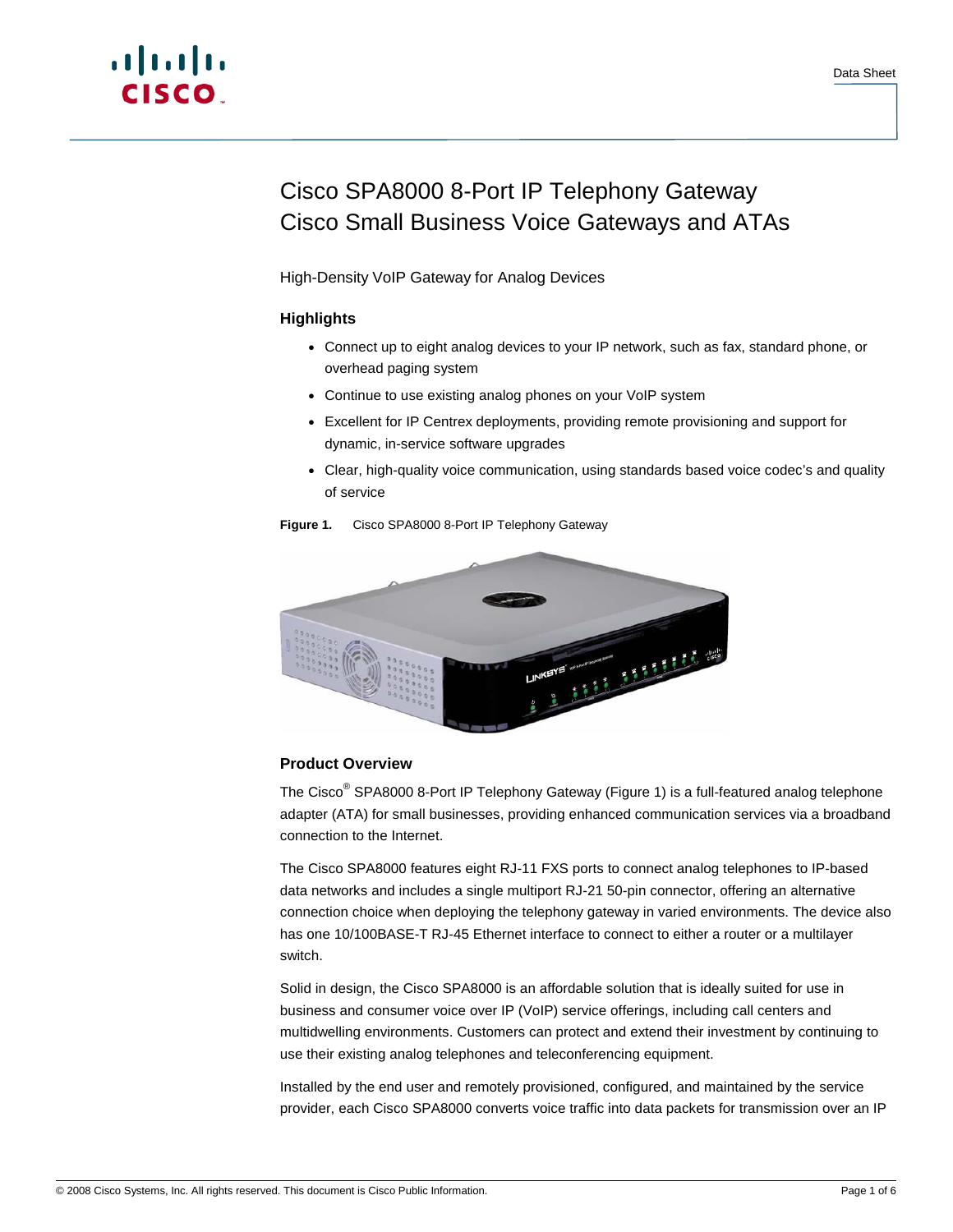# Cisco SPA8000 8-Port IP Telephony Gateway Cisco Small Business Voice Gateways and ATAs

High-Density VoIP Gateway for Analog Devices

# **Highlights**

- Connect up to eight analog devices to your IP network, such as fax, standard phone, or overhead paging system
- Continue to use existing analog phones on your VoIP system
- Excellent for IP Centrex deployments, providing remote provisioning and support for dynamic, in-service software upgrades
- Clear, high-quality voice communication, using standards based voice codec's and quality of service



## **Figure 1.** Cisco SPA8000 8-Port IP Telephony Gateway

# **Product Overview**

The Cisco<sup>®</sup> SPA8000 8-Port IP Telephony Gateway (Figure 1) is a full-featured analog telephone adapter (ATA) for small businesses, providing enhanced communication services via a broadband connection to the Internet.

The Cisco SPA8000 features eight RJ-11 FXS ports to connect analog telephones to IP-based data networks and includes a single multiport RJ-21 50-pin connector, offering an alternative connection choice when deploying the telephony gateway in varied environments. The device also has one 10/100BASE-T RJ-45 Ethernet interface to connect to either a router or a multilayer switch.

Solid in design, the Cisco SPA8000 is an affordable solution that is ideally suited for use in business and consumer voice over IP (VoIP) service offerings, including call centers and multidwelling environments. Customers can protect and extend their investment by continuing to use their existing analog telephones and teleconferencing equipment.

Installed by the end user and remotely provisioned, configured, and maintained by the service provider, each Cisco SPA8000 converts voice traffic into data packets for transmission over an IP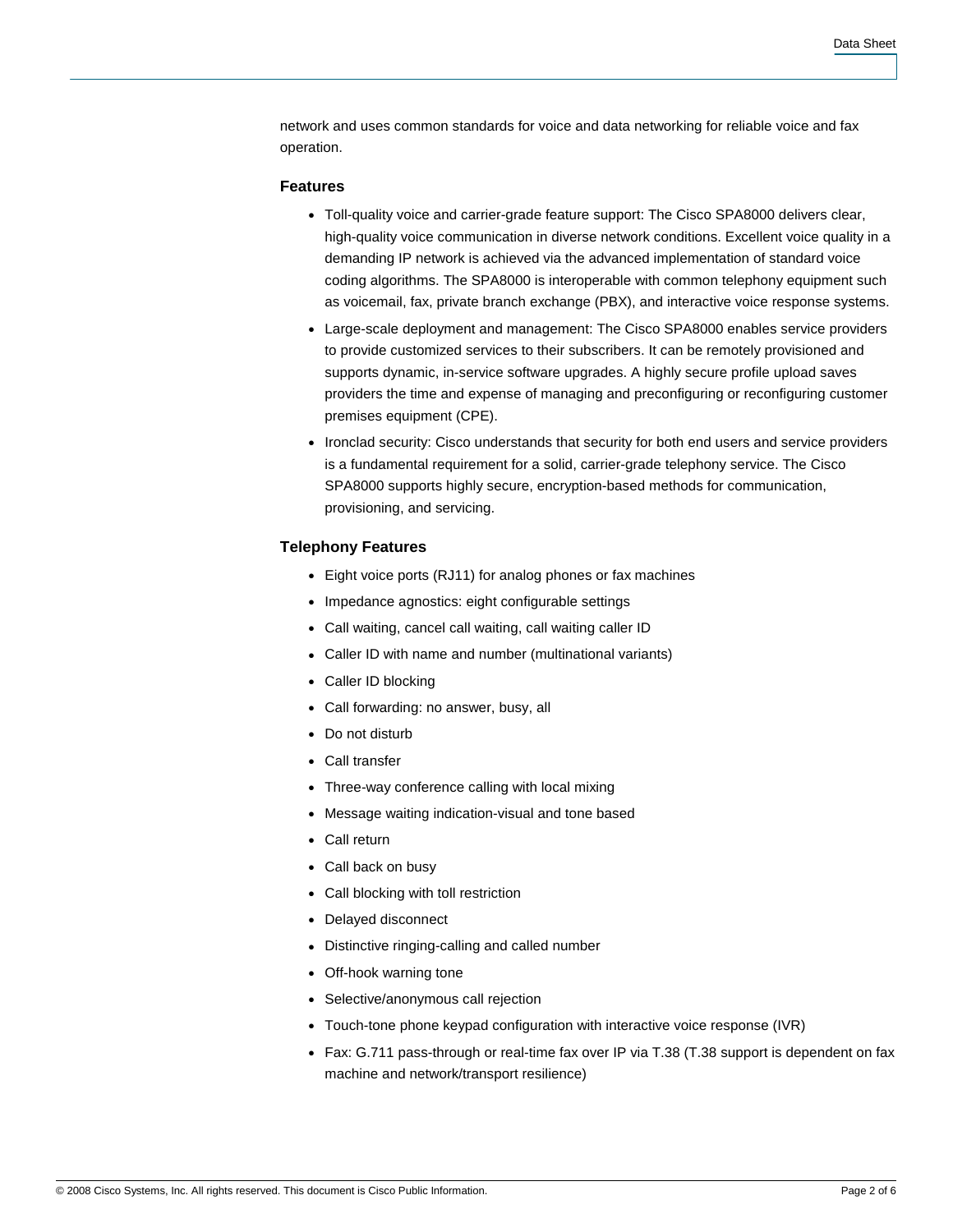network and uses common standards for voice and data networking for reliable voice and fax operation.

# **Features**

- Toll-quality voice and carrier-grade feature support: The Cisco SPA8000 delivers clear, high-quality voice communication in diverse network conditions. Excellent voice quality in a demanding IP network is achieved via the advanced implementation of standard voice coding algorithms. The SPA8000 is interoperable with common telephony equipment such as voicemail, fax, private branch exchange (PBX), and interactive voice response systems.
- Large-scale deployment and management: The Cisco SPA8000 enables service providers to provide customized services to their subscribers. It can be remotely provisioned and supports dynamic, in-service software upgrades. A highly secure profile upload saves providers the time and expense of managing and preconfiguring or reconfiguring customer premises equipment (CPE).
- Ironclad security: Cisco understands that security for both end users and service providers is a fundamental requirement for a solid, carrier-grade telephony service. The Cisco SPA8000 supports highly secure, encryption-based methods for communication, provisioning, and servicing.

## **Telephony Features**

- Eight voice ports (RJ11) for analog phones or fax machines
- Impedance agnostics: eight configurable settings
- Call waiting, cancel call waiting, call waiting caller ID
- Caller ID with name and number (multinational variants)
- Caller ID blocking
- Call forwarding: no answer, busy, all
- Do not disturb
- Call transfer
- Three-way conference calling with local mixing
- Message waiting indication-visual and tone based
- Call return
- Call back on busy
- Call blocking with toll restriction
- Delayed disconnect
- Distinctive ringing-calling and called number
- Off-hook warning tone
- Selective/anonymous call rejection
- Touch-tone phone keypad configuration with interactive voice response (IVR)
- Fax: G.711 pass-through or real-time fax over IP via T.38 (T.38 support is dependent on fax machine and network/transport resilience)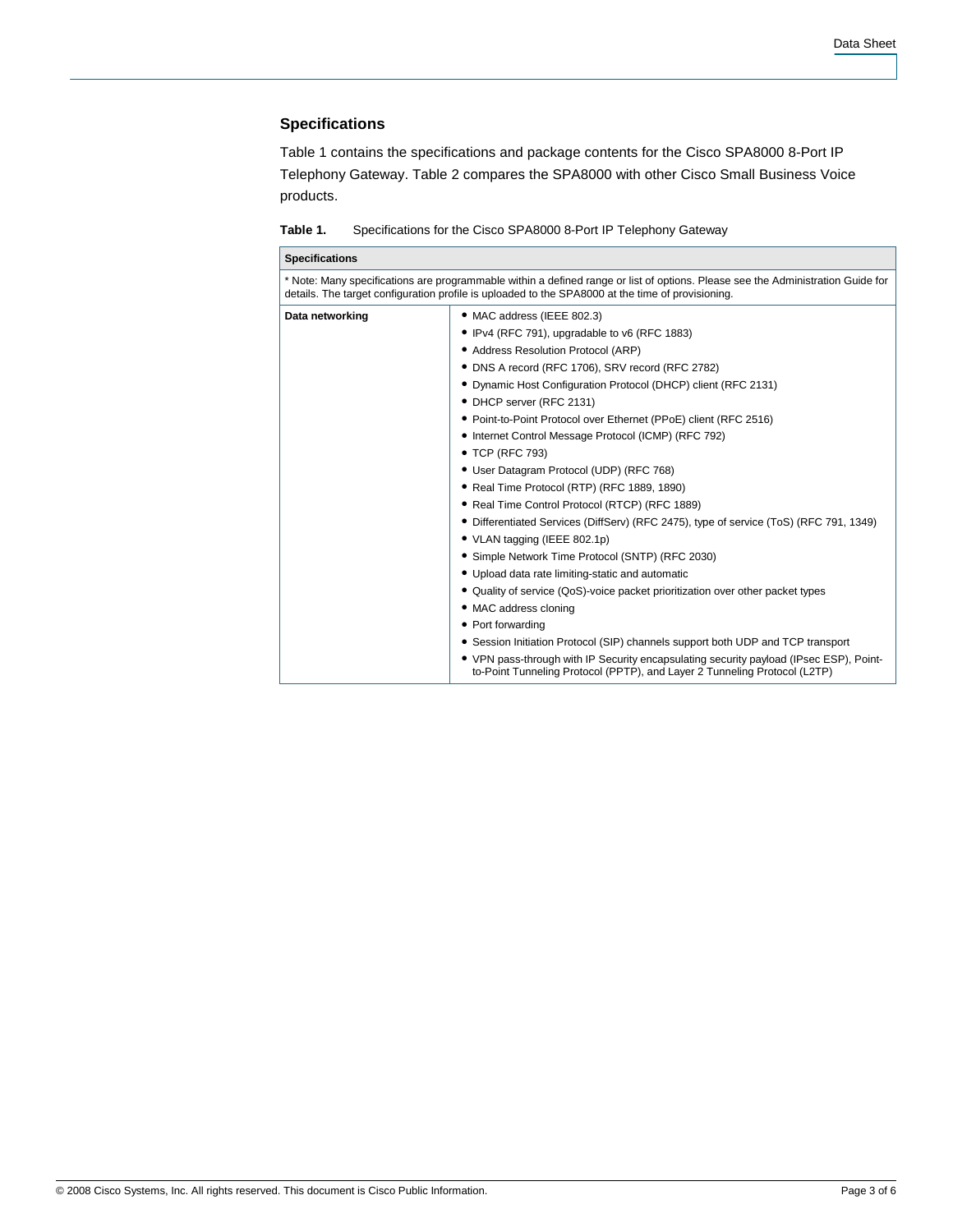# **Specifications**

Table 1 contains the specifications and package contents for the Cisco SPA8000 8-Port IP Telephony Gateway. Table 2 compares the SPA8000 with other Cisco Small Business Voice products.

| Table 1. |  |                                                                  |  |
|----------|--|------------------------------------------------------------------|--|
|          |  | Specifications for the Cisco SPA8000 8-Port IP Telephony Gateway |  |

| <b>Specifications</b>                                                                                                                                                                                                                |                                                                                                                                                                     |  |  |  |
|--------------------------------------------------------------------------------------------------------------------------------------------------------------------------------------------------------------------------------------|---------------------------------------------------------------------------------------------------------------------------------------------------------------------|--|--|--|
| * Note: Many specifications are programmable within a defined range or list of options. Please see the Administration Guide for<br>details. The target configuration profile is uploaded to the SPA8000 at the time of provisioning. |                                                                                                                                                                     |  |  |  |
| Data networking                                                                                                                                                                                                                      | • MAC address (IEEE 802.3)                                                                                                                                          |  |  |  |
|                                                                                                                                                                                                                                      | • IPv4 (RFC 791), upgradable to v6 (RFC 1883)                                                                                                                       |  |  |  |
|                                                                                                                                                                                                                                      | • Address Resolution Protocol (ARP)                                                                                                                                 |  |  |  |
|                                                                                                                                                                                                                                      | • DNS A record (RFC 1706), SRV record (RFC 2782)                                                                                                                    |  |  |  |
|                                                                                                                                                                                                                                      | • Dynamic Host Configuration Protocol (DHCP) client (RFC 2131)                                                                                                      |  |  |  |
|                                                                                                                                                                                                                                      | • DHCP server (RFC 2131)                                                                                                                                            |  |  |  |
|                                                                                                                                                                                                                                      | • Point-to-Point Protocol over Ethernet (PPoE) client (RFC 2516)                                                                                                    |  |  |  |
|                                                                                                                                                                                                                                      | • Internet Control Message Protocol (ICMP) (RFC 792)                                                                                                                |  |  |  |
|                                                                                                                                                                                                                                      | • TCP (RFC 793)                                                                                                                                                     |  |  |  |
|                                                                                                                                                                                                                                      | • User Datagram Protocol (UDP) (RFC 768)                                                                                                                            |  |  |  |
|                                                                                                                                                                                                                                      | • Real Time Protocol (RTP) (RFC 1889, 1890)                                                                                                                         |  |  |  |
|                                                                                                                                                                                                                                      | • Real Time Control Protocol (RTCP) (RFC 1889)                                                                                                                      |  |  |  |
|                                                                                                                                                                                                                                      | • Differentiated Services (DiffServ) (RFC 2475), type of service (ToS) (RFC 791, 1349)                                                                              |  |  |  |
|                                                                                                                                                                                                                                      | • VLAN tagging (IEEE 802.1p)                                                                                                                                        |  |  |  |
|                                                                                                                                                                                                                                      | • Simple Network Time Protocol (SNTP) (RFC 2030)                                                                                                                    |  |  |  |
|                                                                                                                                                                                                                                      | • Upload data rate limiting-static and automatic                                                                                                                    |  |  |  |
|                                                                                                                                                                                                                                      | • Quality of service (QoS)-voice packet prioritization over other packet types                                                                                      |  |  |  |
|                                                                                                                                                                                                                                      | • MAC address cloning                                                                                                                                               |  |  |  |
|                                                                                                                                                                                                                                      | • Port forwarding                                                                                                                                                   |  |  |  |
|                                                                                                                                                                                                                                      | • Session Initiation Protocol (SIP) channels support both UDP and TCP transport                                                                                     |  |  |  |
|                                                                                                                                                                                                                                      | • VPN pass-through with IP Security encapsulating security payload (IPsec ESP), Point-<br>to-Point Tunneling Protocol (PPTP), and Layer 2 Tunneling Protocol (L2TP) |  |  |  |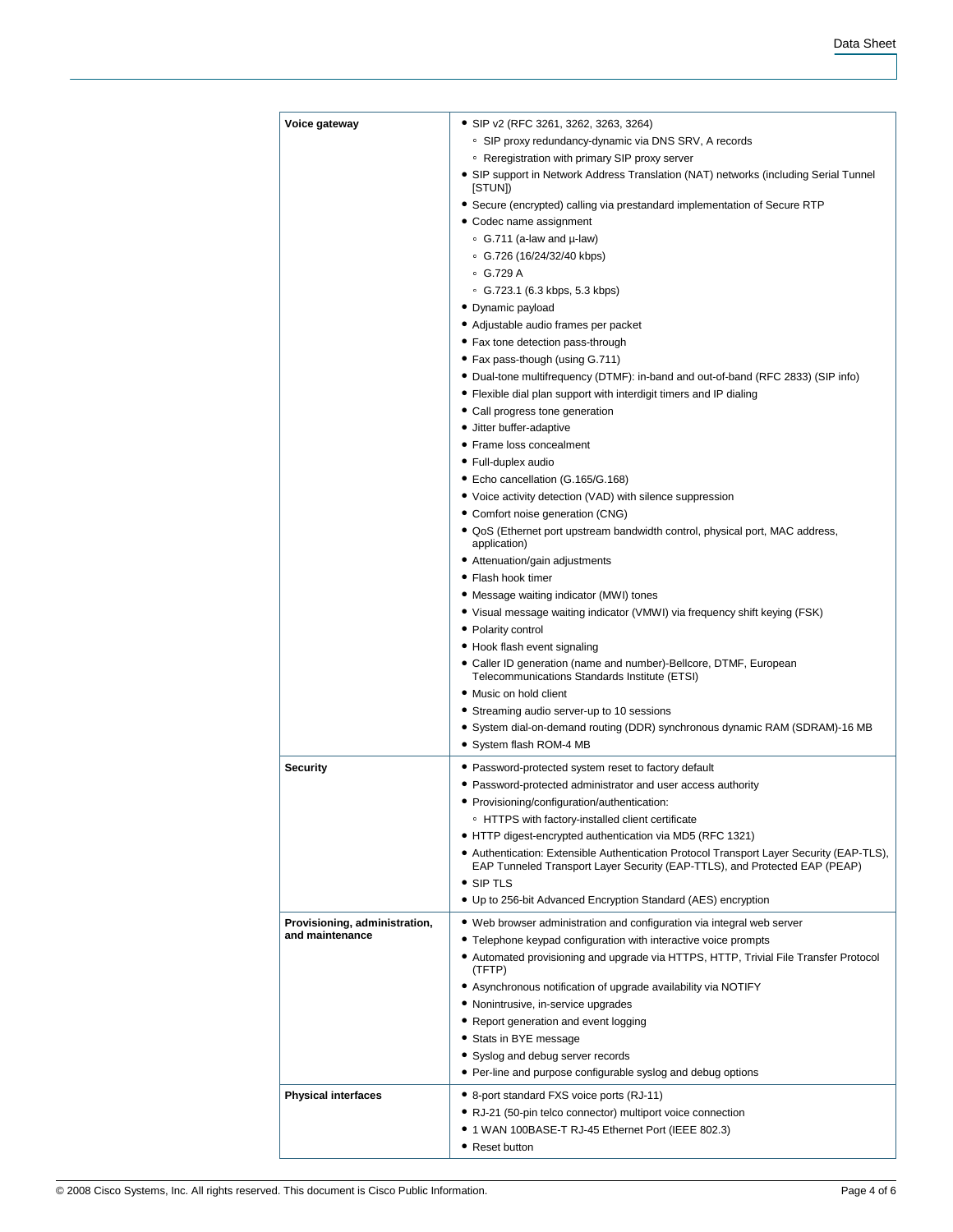| Voice gateway                 | • SIP v2 (RFC 3261, 3262, 3263, 3264)                                                                                                                                  |  |  |  |
|-------------------------------|------------------------------------------------------------------------------------------------------------------------------------------------------------------------|--|--|--|
|                               | • SIP proxy redundancy-dynamic via DNS SRV, A records                                                                                                                  |  |  |  |
|                               | • Reregistration with primary SIP proxy server                                                                                                                         |  |  |  |
|                               | • SIP support in Network Address Translation (NAT) networks (including Serial Tunnel<br>[STUN])                                                                        |  |  |  |
|                               | • Secure (encrypted) calling via prestandard implementation of Secure RTP                                                                                              |  |  |  |
|                               | • Codec name assignment                                                                                                                                                |  |  |  |
|                               | • G.711 (a-law and µ-law)                                                                                                                                              |  |  |  |
|                               | ○ G.726 (16/24/32/40 kbps)                                                                                                                                             |  |  |  |
|                               | $\degree$ G.729 A                                                                                                                                                      |  |  |  |
|                               | • G.723.1 (6.3 kbps, 5.3 kbps)                                                                                                                                         |  |  |  |
|                               | • Dynamic payload                                                                                                                                                      |  |  |  |
|                               | • Adjustable audio frames per packet                                                                                                                                   |  |  |  |
|                               | • Fax tone detection pass-through                                                                                                                                      |  |  |  |
|                               | • Fax pass-though (using G.711)                                                                                                                                        |  |  |  |
|                               | • Dual-tone multifrequency (DTMF): in-band and out-of-band (RFC 2833) (SIP info)                                                                                       |  |  |  |
|                               | • Flexible dial plan support with interdigit timers and IP dialing                                                                                                     |  |  |  |
|                               | • Call progress tone generation                                                                                                                                        |  |  |  |
|                               | • Jitter buffer-adaptive                                                                                                                                               |  |  |  |
|                               | • Frame loss concealment                                                                                                                                               |  |  |  |
|                               | • Full-duplex audio                                                                                                                                                    |  |  |  |
|                               | • Echo cancellation (G.165/G.168)                                                                                                                                      |  |  |  |
|                               | • Voice activity detection (VAD) with silence suppression                                                                                                              |  |  |  |
|                               | • Comfort noise generation (CNG)                                                                                                                                       |  |  |  |
|                               | • QoS (Ethernet port upstream bandwidth control, physical port, MAC address,                                                                                           |  |  |  |
|                               | application)                                                                                                                                                           |  |  |  |
|                               | • Attenuation/gain adjustments                                                                                                                                         |  |  |  |
|                               | • Flash hook timer                                                                                                                                                     |  |  |  |
|                               | • Message waiting indicator (MWI) tones                                                                                                                                |  |  |  |
|                               | • Visual message waiting indicator (VMWI) via frequency shift keying (FSK)                                                                                             |  |  |  |
|                               | • Polarity control                                                                                                                                                     |  |  |  |
|                               | • Hook flash event signaling                                                                                                                                           |  |  |  |
|                               | • Caller ID generation (name and number)-Bellcore, DTMF, European<br>Telecommunications Standards Institute (ETSI)                                                     |  |  |  |
|                               | • Music on hold client                                                                                                                                                 |  |  |  |
|                               | • Streaming audio server-up to 10 sessions                                                                                                                             |  |  |  |
|                               | • System dial-on-demand routing (DDR) synchronous dynamic RAM (SDRAM)-16 MB                                                                                            |  |  |  |
|                               | • System flash ROM-4 MB                                                                                                                                                |  |  |  |
| <b>Security</b>               | • Password-protected system reset to factory default                                                                                                                   |  |  |  |
|                               | • Password-protected administrator and user access authority                                                                                                           |  |  |  |
|                               | • Provisioning/configuration/authentication:                                                                                                                           |  |  |  |
|                               | • HTTPS with factory-installed client certificate                                                                                                                      |  |  |  |
|                               | • HTTP digest-encrypted authentication via MD5 (RFC 1321)                                                                                                              |  |  |  |
|                               | • Authentication: Extensible Authentication Protocol Transport Layer Security (EAP-TLS),<br>EAP Tunneled Transport Layer Security (EAP-TTLS), and Protected EAP (PEAP) |  |  |  |
|                               | • SIP TLS                                                                                                                                                              |  |  |  |
|                               | • Up to 256-bit Advanced Encryption Standard (AES) encryption                                                                                                          |  |  |  |
| Provisioning, administration, |                                                                                                                                                                        |  |  |  |
| and maintenance               | • Web browser administration and configuration via integral web server                                                                                                 |  |  |  |
|                               | • Telephone keypad configuration with interactive voice prompts<br>• Automated provisioning and upgrade via HTTPS, HTTP, Trivial File Transfer Protocol                |  |  |  |
|                               | (TFTP)                                                                                                                                                                 |  |  |  |
|                               | • Asynchronous notification of upgrade availability via NOTIFY                                                                                                         |  |  |  |
|                               | · Nonintrusive, in-service upgrades                                                                                                                                    |  |  |  |
|                               | • Report generation and event logging                                                                                                                                  |  |  |  |
|                               | • Stats in BYE message                                                                                                                                                 |  |  |  |
|                               | • Syslog and debug server records                                                                                                                                      |  |  |  |
|                               | • Per-line and purpose configurable syslog and debug options                                                                                                           |  |  |  |
|                               |                                                                                                                                                                        |  |  |  |
| <b>Physical interfaces</b>    | • 8-port standard FXS voice ports (RJ-11)                                                                                                                              |  |  |  |
|                               | • RJ-21 (50-pin telco connector) multiport voice connection                                                                                                            |  |  |  |
|                               | ● 1 WAN 100BASE-T RJ-45 Ethernet Port (IEEE 802.3)                                                                                                                     |  |  |  |
|                               | • Reset button                                                                                                                                                         |  |  |  |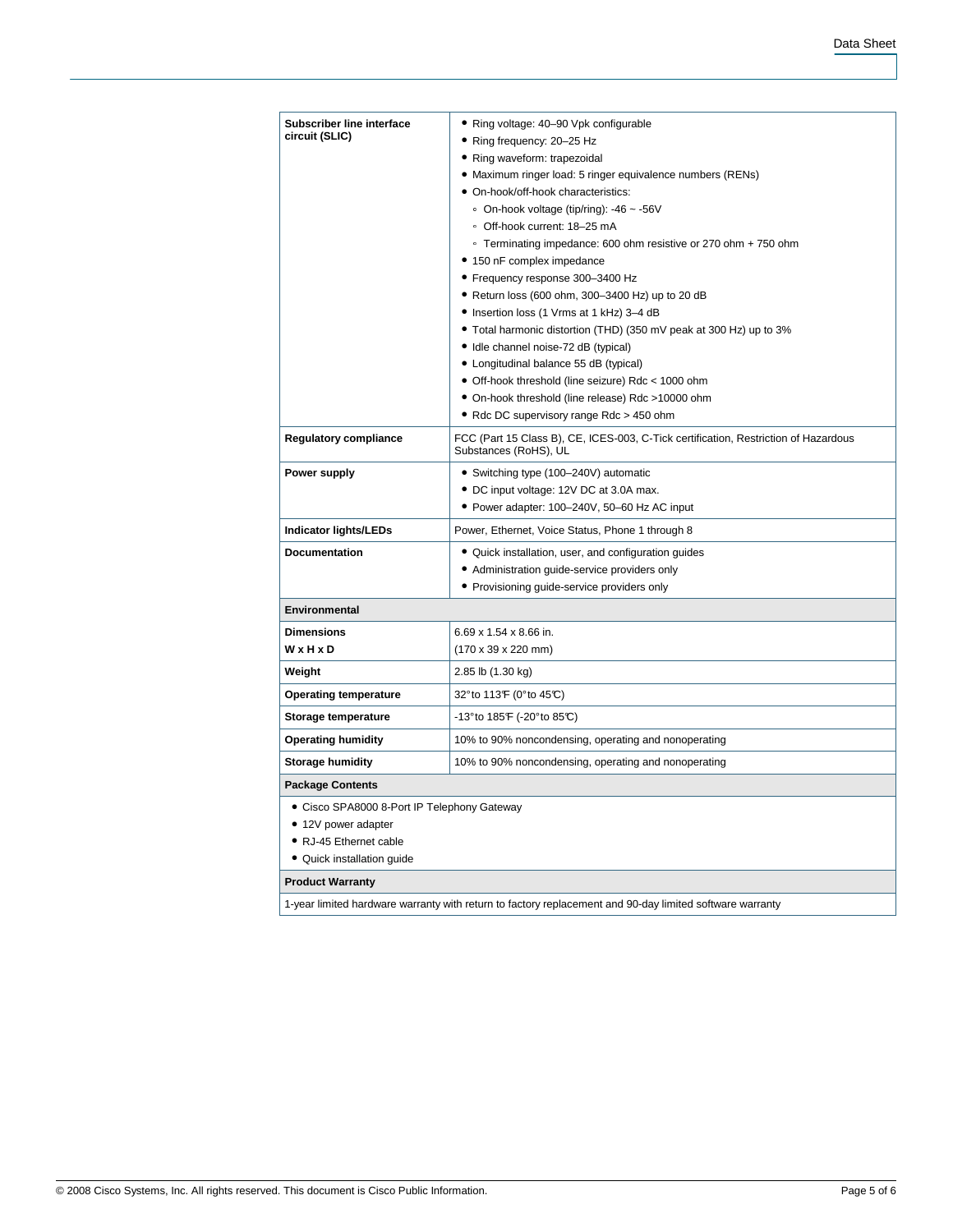| <b>Subscriber line interface</b>                                                                         | • Ring voltage: 40–90 Vpk configurable                                                                       |  |  |  |
|----------------------------------------------------------------------------------------------------------|--------------------------------------------------------------------------------------------------------------|--|--|--|
| circuit (SLIC)                                                                                           | • Ring frequency: 20-25 Hz                                                                                   |  |  |  |
|                                                                                                          | • Ring waveform: trapezoidal                                                                                 |  |  |  |
|                                                                                                          | • Maximum ringer load: 5 ringer equivalence numbers (RENs)                                                   |  |  |  |
|                                                                                                          | · On-hook/off-hook characteristics:                                                                          |  |  |  |
|                                                                                                          | • On-hook voltage (tip/ring): $-46 \sim -56$ V                                                               |  |  |  |
|                                                                                                          | · Off-hook current: 18-25 mA<br>∘ Terminating impedance: 600 ohm resistive or 270 ohm + 750 ohm              |  |  |  |
|                                                                                                          | • 150 nF complex impedance                                                                                   |  |  |  |
|                                                                                                          | • Frequency response 300-3400 Hz                                                                             |  |  |  |
|                                                                                                          | • Return loss (600 ohm, 300-3400 Hz) up to 20 dB                                                             |  |  |  |
|                                                                                                          | • Insertion loss (1 Vrms at 1 kHz) 3-4 dB                                                                    |  |  |  |
|                                                                                                          | • Total harmonic distortion (THD) (350 mV peak at 300 Hz) up to 3%                                           |  |  |  |
|                                                                                                          | • Idle channel noise-72 dB (typical)                                                                         |  |  |  |
|                                                                                                          | • Longitudinal balance 55 dB (typical)                                                                       |  |  |  |
|                                                                                                          | • Off-hook threshold (line seizure) Rdc < 1000 ohm                                                           |  |  |  |
|                                                                                                          | • On-hook threshold (line release) Rdc >10000 ohm                                                            |  |  |  |
|                                                                                                          | • Rdc DC supervisory range Rdc > 450 ohm                                                                     |  |  |  |
| <b>Regulatory compliance</b>                                                                             | FCC (Part 15 Class B), CE, ICES-003, C-Tick certification, Restriction of Hazardous<br>Substances (RoHS), UL |  |  |  |
| Power supply                                                                                             | • Switching type (100-240V) automatic                                                                        |  |  |  |
|                                                                                                          | • DC input voltage: 12V DC at 3.0A max.                                                                      |  |  |  |
|                                                                                                          | • Power adapter: 100-240V, 50-60 Hz AC input                                                                 |  |  |  |
| Indicator lights/LEDs                                                                                    | Power, Ethernet, Voice Status, Phone 1 through 8                                                             |  |  |  |
| <b>Documentation</b>                                                                                     | • Quick installation, user, and configuration guides                                                         |  |  |  |
|                                                                                                          | • Administration guide-service providers only                                                                |  |  |  |
|                                                                                                          | • Provisioning guide-service providers only                                                                  |  |  |  |
| <b>Environmental</b>                                                                                     |                                                                                                              |  |  |  |
| <b>Dimensions</b>                                                                                        | 6.69 x 1.54 x 8.66 in.                                                                                       |  |  |  |
| WxHxD                                                                                                    | $(170 \times 39 \times 220 \text{ mm})$                                                                      |  |  |  |
| Weight                                                                                                   | 2.85 lb (1.30 kg)                                                                                            |  |  |  |
| <b>Operating temperature</b>                                                                             | 32° to 113 F (0° to 45°C)                                                                                    |  |  |  |
| Storage temperature                                                                                      | $-13^{\circ}$ to 185 $\mathsf{F}$ (-20 $^{\circ}$ to 85 $\mathbb{C}$ )                                       |  |  |  |
| <b>Operating humidity</b>                                                                                | 10% to 90% noncondensing, operating and nonoperating                                                         |  |  |  |
| <b>Storage humidity</b>                                                                                  | 10% to 90% noncondensing, operating and nonoperating                                                         |  |  |  |
| <b>Package Contents</b>                                                                                  |                                                                                                              |  |  |  |
| • Cisco SPA8000 8-Port IP Telephony Gateway                                                              |                                                                                                              |  |  |  |
| • 12V power adapter                                                                                      |                                                                                                              |  |  |  |
| • RJ-45 Ethernet cable                                                                                   |                                                                                                              |  |  |  |
| • Quick installation quide                                                                               |                                                                                                              |  |  |  |
| <b>Product Warranty</b>                                                                                  |                                                                                                              |  |  |  |
| 1-year limited hardware warranty with return to factory replacement and 90-day limited software warranty |                                                                                                              |  |  |  |